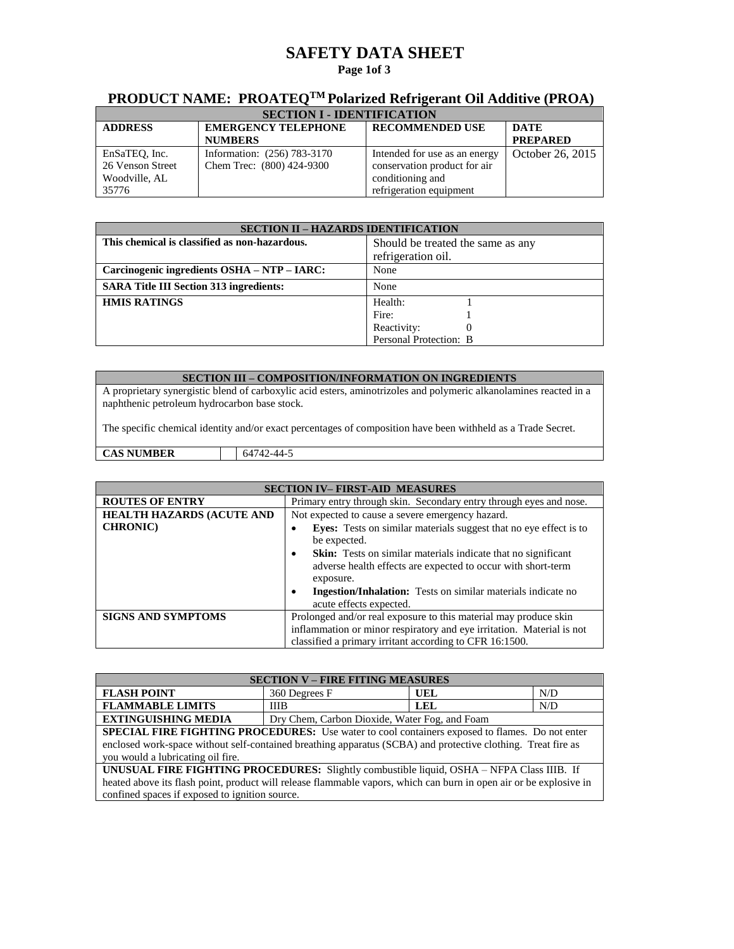## **SAFETY DATA SHEET**

### **Page 1of 3**

## **PRODUCT NAME: PROATEQTM Polarized Refrigerant Oil Additive (PROA)**

| <b>SECTION I - IDENTIFICATION</b> |                             |                               |                  |
|-----------------------------------|-----------------------------|-------------------------------|------------------|
| <b>ADDRESS</b>                    | <b>EMERGENCY TELEPHONE</b>  | <b>RECOMMENDED USE</b>        | <b>DATE</b>      |
|                                   | <b>NUMBERS</b>              |                               | <b>PREPARED</b>  |
| EnSaTEQ, Inc.                     | Information: (256) 783-3170 | Intended for use as an energy | October 26, 2015 |
| 26 Venson Street                  | Chem Trec: (800) 424-9300   | conservation product for air  |                  |
| Woodville, AL                     |                             | conditioning and              |                  |
| 35776                             |                             | refrigeration equipment       |                  |

| <b>SECTION II - HAZARDS IDENTIFICATION</b>     |                                   |  |
|------------------------------------------------|-----------------------------------|--|
| This chemical is classified as non-hazardous.  | Should be treated the same as any |  |
|                                                | refrigeration oil.                |  |
| Carcinogenic ingredients OSHA - NTP - IARC:    | None                              |  |
| <b>SARA Title III Section 313 ingredients:</b> | None                              |  |
| <b>HMIS RATINGS</b>                            | Health:                           |  |
|                                                | Fire:                             |  |
|                                                | Reactivity:                       |  |
|                                                | Personal Protection: B            |  |

#### **SECTION III – COMPOSITION/INFORMATION ON INGREDIENTS**

A proprietary synergistic blend of carboxylic acid esters, aminotrizoles and polymeric alkanolamines reacted in a naphthenic petroleum hydrocarbon base stock.

The specific chemical identity and/or exact percentages of composition have been withheld as a Trade Secret.

**CAS NUMBER** 64742-44-5

| <b>SECTION IV-FIRST-AID MEASURES</b> |                                                                                                                                                                                                      |  |
|--------------------------------------|------------------------------------------------------------------------------------------------------------------------------------------------------------------------------------------------------|--|
| <b>ROUTES OF ENTRY</b>               | Primary entry through skin. Secondary entry through eyes and nose.                                                                                                                                   |  |
| <b>HEALTH HAZARDS (ACUTE AND</b>     | Not expected to cause a severe emergency hazard.                                                                                                                                                     |  |
| <b>CHRONIC</b> )                     | Eyes: Tests on similar materials suggest that no eye effect is to<br>be expected.                                                                                                                    |  |
|                                      | <b>Skin:</b> Tests on similar materials indicate that no significant<br>$\bullet$<br>adverse health effects are expected to occur with short-term<br>exposure.                                       |  |
|                                      | <b>Ingestion/Inhalation:</b> Tests on similar materials indicate no<br>acute effects expected.                                                                                                       |  |
| <b>SIGNS AND SYMPTOMS</b>            | Prolonged and/or real exposure to this material may produce skin<br>inflammation or minor respiratory and eye irritation. Material is not<br>classified a primary irritant according to CFR 16:1500. |  |

| <b>SECTION V - FIRE FITING MEASURES</b>                                                                            |               |            |     |
|--------------------------------------------------------------------------------------------------------------------|---------------|------------|-----|
| <b>FLASH POINT</b>                                                                                                 | 360 Degrees F | UEL        | N/D |
| <b>FLAMMABLE LIMITS</b>                                                                                            | <b>IIIB</b>   | <b>LEL</b> | N/D |
| <b>EXTINGUISHING MEDIA</b><br>Dry Chem, Carbon Dioxide, Water Fog, and Foam                                        |               |            |     |
| SPECIAL FIRE FIGHTING PROCEDURES: Use water to cool containers exposed to flames. Do not enter                     |               |            |     |
| enclosed work-space without self-contained breathing apparatus (SCBA) and protective clothing. Treat fire as       |               |            |     |
| you would a lubricating oil fire.                                                                                  |               |            |     |
| UNUSUAL FIRE FIGHTING PROCEDURES: Slightly combustible liquid, OSHA - NFPA Class IIIB. If                          |               |            |     |
| heated above its flash point, product will release flammable vapors, which can burn in open air or be explosive in |               |            |     |
| confined spaces if exposed to ignition source.                                                                     |               |            |     |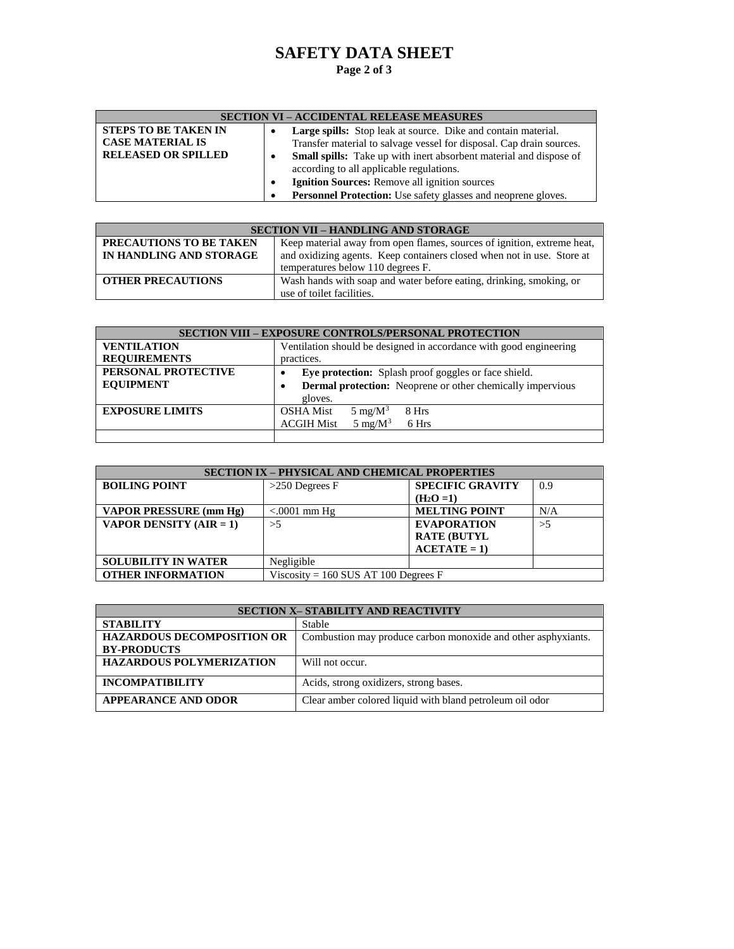# **SAFETY DATA SHEET**

## **Page 2 of 3**

| <b>SECTION VI – ACCIDENTAL RELEASE MEASURES</b> |                                                                           |  |
|-------------------------------------------------|---------------------------------------------------------------------------|--|
| <b>STEPS TO BE TAKEN IN</b>                     | <b>Large spills:</b> Stop leak at source. Dike and contain material.      |  |
| <b>CASE MATERIAL IS</b>                         | Transfer material to salvage vessel for disposal. Cap drain sources.      |  |
| <b>RELEASED OR SPILLED</b>                      | <b>Small spills:</b> Take up with inert absorbent material and dispose of |  |
|                                                 | according to all applicable regulations.                                  |  |
|                                                 | Ignition Sources: Remove all ignition sources                             |  |
|                                                 | <b>Personnel Protection:</b> Use safety glasses and neoprene gloves.      |  |

| <b>SECTION VII - HANDLING AND STORAGE</b>          |                                                                                                                                                   |  |
|----------------------------------------------------|---------------------------------------------------------------------------------------------------------------------------------------------------|--|
| PRECAUTIONS TO BE TAKEN<br>IN HANDLING AND STORAGE | Keep material away from open flames, sources of ignition, extreme heat,<br>and oxidizing agents. Keep containers closed when not in use. Store at |  |
|                                                    | temperatures below 110 degrees F.                                                                                                                 |  |
| <b>OTHER PRECAUTIONS</b>                           | Wash hands with soap and water before eating, drinking, smoking, or<br>use of toilet facilities.                                                  |  |

| <b>SECTION VIII – EXPOSURE CONTROLS/PERSONAL PROTECTION</b> |                                                                    |  |
|-------------------------------------------------------------|--------------------------------------------------------------------|--|
| <b>VENTILATION</b>                                          | Ventilation should be designed in accordance with good engineering |  |
| <b>REQUIREMENTS</b>                                         | practices.                                                         |  |
| PERSONAL PROTECTIVE                                         | Eye protection: Splash proof goggles or face shield.               |  |
| <b>EQUIPMENT</b>                                            | <b>Dermal protection:</b> Neoprene or other chemically impervious  |  |
|                                                             | gloves.                                                            |  |
| <b>EXPOSURE LIMITS</b>                                      | <b>OSHA</b> Mist<br>$5 \text{ mg/M}^3$<br>8 Hrs                    |  |
|                                                             | 5 mg/ $M^3$<br><b>ACGIH Mist</b><br>6 Hrs                          |  |
|                                                             |                                                                    |  |

| <b>SECTION IX – PHYSICAL AND CHEMICAL PROPERTIES</b> |                                        |                         |     |
|------------------------------------------------------|----------------------------------------|-------------------------|-----|
| <b>BOILING POINT</b>                                 | $>250$ Degrees F                       | <b>SPECIFIC GRAVITY</b> | 0.9 |
|                                                      |                                        | $(H_2O=1)$              |     |
| VAPOR PRESSURE (mm Hg)                               | $< 0001$ mm Hg                         | <b>MELTING POINT</b>    | N/A |
| <b>VAPOR DENSITY (AIR = 1)</b>                       | >5                                     | <b>EVAPORATION</b>      | >5  |
|                                                      |                                        | <b>RATE (BUTYL</b>      |     |
|                                                      |                                        | $ACETATE = 1$           |     |
| <b>SOLUBILITY IN WATER</b>                           | Negligible                             |                         |     |
| <b>OTHER INFORMATION</b>                             | Viscosity = $160$ SUS AT 100 Degrees F |                         |     |

| <b>SECTION X- STABILITY AND REACTIVITY</b> |                                                               |  |
|--------------------------------------------|---------------------------------------------------------------|--|
| <b>STABILITY</b>                           | <b>Stable</b>                                                 |  |
| <b>HAZARDOUS DECOMPOSITION OR</b>          | Combustion may produce carbon monoxide and other asphyxiants. |  |
| <b>BY-PRODUCTS</b>                         |                                                               |  |
| <b>HAZARDOUS POLYMERIZATION</b>            | Will not occur.                                               |  |
| <b>INCOMPATIBILITY</b>                     | Acids, strong oxidizers, strong bases.                        |  |
| <b>APPEARANCE AND ODOR</b>                 | Clear amber colored liquid with bland petroleum oil odor      |  |